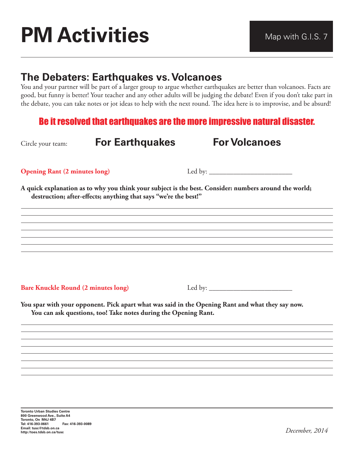## **PM Activities** Map With G.I.S. 7

## **The Debaters: Earthquakes vs. Volcanoes**

You and your partner will be part of a larger group to argue whether earthquakes are better than volcanoes. Facts are good, but funny is better! Your teacher and any other adults will be judging the debate! Even if you don't take part in the debate, you can take notes or jot ideas to help with the next round. The idea here is to improvise, and be absurd!

## Be it resolved that earthquakes are the more impressive natural disaster.

| Circle your team:                          | <b>For Earthquakes</b>                                           | <b>For Volcanoes</b>                                                                                  |
|--------------------------------------------|------------------------------------------------------------------|-------------------------------------------------------------------------------------------------------|
| <b>Opening Rant (2 minutes long)</b>       |                                                                  |                                                                                                       |
|                                            | destruction; after-effects; anything that says "we're the best!" | A quick explanation as to why you think your subject is the best. Consider: numbers around the world; |
|                                            |                                                                  |                                                                                                       |
|                                            |                                                                  |                                                                                                       |
|                                            | You can ask questions, too! Take notes during the Opening Rant.  | You spar with your opponent. Pick apart what was said in the Opening Rant and what they say now.      |
|                                            |                                                                  |                                                                                                       |
| <b>Bare Knuckle Round (2 minutes long)</b> |                                                                  |                                                                                                       |